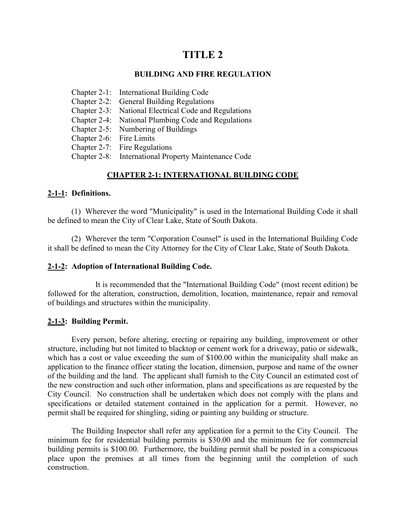# **TITLE 2**

#### **BUILDING AND FIRE REGULATION**

- Chapter 2-1: International Building Code
- Chapter 2-2: General Building Regulations
- Chapter 2-3: National Electrical Code and Regulations
- Chapter 2-4: National Plumbing Code and Regulations
- Chapter 2-5: Numbering of Buildings
- Chapter 2-6: Fire Limits
- Chapter 2-7: Fire Regulations
- Chapter 2-8: International Property Maintenance Code

# **CHAPTER 2-1: INTERNATIONAL BUILDING CODE**

### **2-1-1: Definitions.**

(1) Wherever the word "Municipality" is used in the International Building Code it shall be defined to mean the City of Clear Lake, State of South Dakota.

(2) Wherever the term "Corporation Counsel" is used in the International Building Code it shall be defined to mean the City Attorney for the City of Clear Lake, State of South Dakota.

### **2-1-2: Adoption of International Building Code.**

It is recommended that the "International Building Code" (most recent edition) be followed for the alteration, construction, demolition, location, maintenance, repair and removal of buildings and structures within the municipality.

### **2-1-3: Building Permit.**

Every person, before altering, erecting or repairing any building, improvement or other structure, including but not limited to blacktop or cement work for a driveway, patio or sidewalk, which has a cost or value exceeding the sum of \$100.00 within the municipality shall make an application to the finance officer stating the location, dimension, purpose and name of the owner of the building and the land. The applicant shall furnish to the City Council an estimated cost of the new construction and such other information, plans and specifications as are requested by the City Council. No construction shall be undertaken which does not comply with the plans and specifications or detailed statement contained in the application for a permit. However, no permit shall be required for shingling, siding or painting any building or structure.

The Building Inspector shall refer any application for a permit to the City Council. The minimum fee for residential building permits is \$30.00 and the minimum fee for commercial building permits is \$100.00. Furthermore, the building permit shall be posted in a conspicuous place upon the premises at all times from the beginning until the completion of such construction.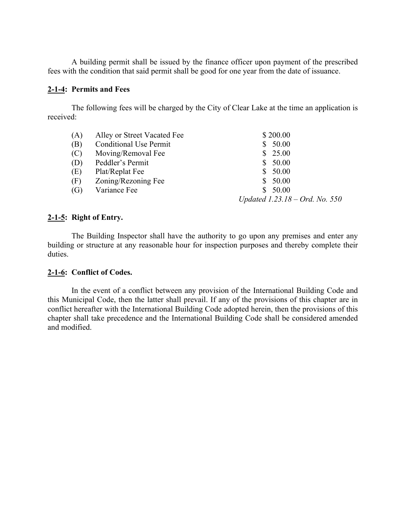A building permit shall be issued by the finance officer upon payment of the prescribed fees with the condition that said permit shall be good for one year from the date of issuance.

### **2-1-4: Permits and Fees**

The following fees will be charged by the City of Clear Lake at the time an application is received:

| (A) | Alley or Street Vacated Fee   | \$200.00                         |
|-----|-------------------------------|----------------------------------|
| (B) | <b>Conditional Use Permit</b> | 50.00                            |
| (C) | Moving/Removal Fee            | \$25.00                          |
| (D) | Peddler's Permit              | \$50.00                          |
| (E) | Plat/Replat Fee               | \$50.00                          |
| (F) | Zoning/Rezoning Fee           | \$50.00                          |
| (G) | Variance Fee                  | 50.00<br>S.                      |
|     |                               | Updated $1.23.18 - Ord.$ No. 550 |

### **2-1-5: Right of Entry.**

The Building Inspector shall have the authority to go upon any premises and enter any building or structure at any reasonable hour for inspection purposes and thereby complete their duties.

### **2-1-6: Conflict of Codes.**

In the event of a conflict between any provision of the International Building Code and this Municipal Code, then the latter shall prevail. If any of the provisions of this chapter are in conflict hereafter with the International Building Code adopted herein, then the provisions of this chapter shall take precedence and the International Building Code shall be considered amended and modified.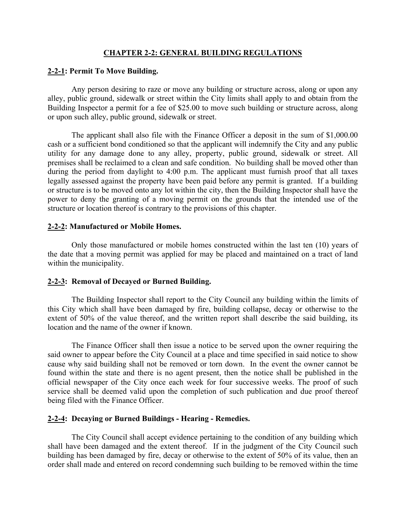### **CHAPTER 2-2: GENERAL BUILDING REGULATIONS**

### **2-2-1: Permit To Move Building.**

Any person desiring to raze or move any building or structure across, along or upon any alley, public ground, sidewalk or street within the City limits shall apply to and obtain from the Building Inspector a permit for a fee of \$25.00 to move such building or structure across, along or upon such alley, public ground, sidewalk or street.

The applicant shall also file with the Finance Officer a deposit in the sum of \$1,000.00 cash or a sufficient bond conditioned so that the applicant will indemnify the City and any public utility for any damage done to any alley, property, public ground, sidewalk or street. All premises shall be reclaimed to a clean and safe condition. No building shall be moved other than during the period from daylight to 4:00 p.m. The applicant must furnish proof that all taxes legally assessed against the property have been paid before any permit is granted. If a building or structure is to be moved onto any lot within the city, then the Building Inspector shall have the power to deny the granting of a moving permit on the grounds that the intended use of the structure or location thereof is contrary to the provisions of this chapter.

### **2-2-2: Manufactured or Mobile Homes.**

Only those manufactured or mobile homes constructed within the last ten (10) years of the date that a moving permit was applied for may be placed and maintained on a tract of land within the municipality.

### **2-2-3: Removal of Decayed or Burned Building.**

The Building Inspector shall report to the City Council any building within the limits of this City which shall have been damaged by fire, building collapse, decay or otherwise to the extent of 50% of the value thereof, and the written report shall describe the said building, its location and the name of the owner if known.

The Finance Officer shall then issue a notice to be served upon the owner requiring the said owner to appear before the City Council at a place and time specified in said notice to show cause why said building shall not be removed or torn down. In the event the owner cannot be found within the state and there is no agent present, then the notice shall be published in the official newspaper of the City once each week for four successive weeks. The proof of such service shall be deemed valid upon the completion of such publication and due proof thereof being filed with the Finance Officer.

### **2-2-4: Decaying or Burned Buildings - Hearing - Remedies.**

The City Council shall accept evidence pertaining to the condition of any building which shall have been damaged and the extent thereof. If in the judgment of the City Council such building has been damaged by fire, decay or otherwise to the extent of 50% of its value, then an order shall made and entered on record condemning such building to be removed within the time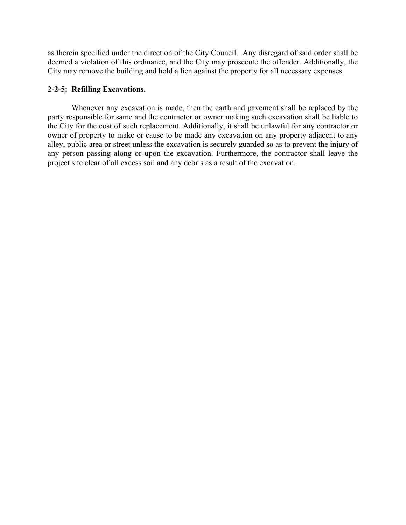as therein specified under the direction of the City Council. Any disregard of said order shall be deemed a violation of this ordinance, and the City may prosecute the offender. Additionally, the City may remove the building and hold a lien against the property for all necessary expenses.

### **2-2-5: Refilling Excavations.**

Whenever any excavation is made, then the earth and pavement shall be replaced by the party responsible for same and the contractor or owner making such excavation shall be liable to the City for the cost of such replacement. Additionally, it shall be unlawful for any contractor or owner of property to make or cause to be made any excavation on any property adjacent to any alley, public area or street unless the excavation is securely guarded so as to prevent the injury of any person passing along or upon the excavation. Furthermore, the contractor shall leave the project site clear of all excess soil and any debris as a result of the excavation.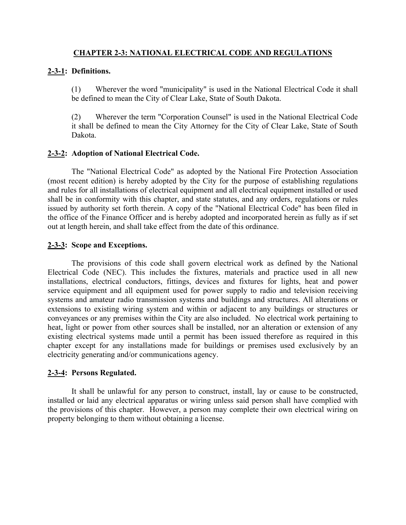### **CHAPTER 2-3: NATIONAL ELECTRICAL CODE AND REGULATIONS**

### **2-3-1: Definitions.**

(1) Wherever the word "municipality" is used in the National Electrical Code it shall be defined to mean the City of Clear Lake, State of South Dakota.

(2) Wherever the term "Corporation Counsel" is used in the National Electrical Code it shall be defined to mean the City Attorney for the City of Clear Lake, State of South Dakota.

### **2-3-2: Adoption of National Electrical Code.**

The "National Electrical Code" as adopted by the National Fire Protection Association (most recent edition) is hereby adopted by the City for the purpose of establishing regulations and rules for all installations of electrical equipment and all electrical equipment installed or used shall be in conformity with this chapter, and state statutes, and any orders, regulations or rules issued by authority set forth therein. A copy of the "National Electrical Code" has been filed in the office of the Finance Officer and is hereby adopted and incorporated herein as fully as if set out at length herein, and shall take effect from the date of this ordinance.

### **2-3-3: Scope and Exceptions.**

The provisions of this code shall govern electrical work as defined by the National Electrical Code (NEC). This includes the fixtures, materials and practice used in all new installations, electrical conductors, fittings, devices and fixtures for lights, heat and power service equipment and all equipment used for power supply to radio and television receiving systems and amateur radio transmission systems and buildings and structures. All alterations or extensions to existing wiring system and within or adjacent to any buildings or structures or conveyances or any premises within the City are also included. No electrical work pertaining to heat, light or power from other sources shall be installed, nor an alteration or extension of any existing electrical systems made until a permit has been issued therefore as required in this chapter except for any installations made for buildings or premises used exclusively by an electricity generating and/or communications agency.

### **2-3-4: Persons Regulated.**

It shall be unlawful for any person to construct, install, lay or cause to be constructed, installed or laid any electrical apparatus or wiring unless said person shall have complied with the provisions of this chapter. However, a person may complete their own electrical wiring on property belonging to them without obtaining a license.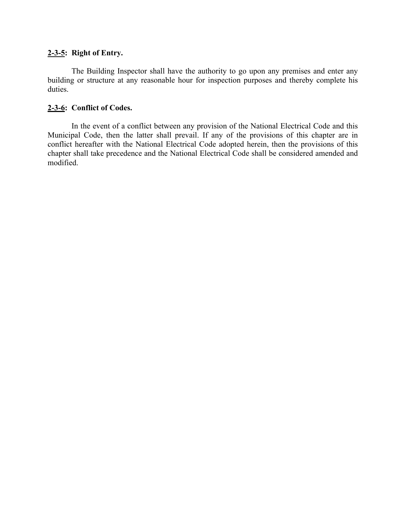# **2-3-5: Right of Entry.**

The Building Inspector shall have the authority to go upon any premises and enter any building or structure at any reasonable hour for inspection purposes and thereby complete his duties.

# **2-3-6: Conflict of Codes.**

In the event of a conflict between any provision of the National Electrical Code and this Municipal Code, then the latter shall prevail. If any of the provisions of this chapter are in conflict hereafter with the National Electrical Code adopted herein, then the provisions of this chapter shall take precedence and the National Electrical Code shall be considered amended and modified.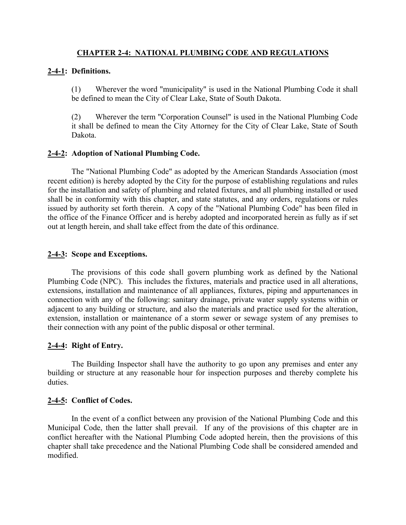### **CHAPTER 2-4: NATIONAL PLUMBING CODE AND REGULATIONS**

### **2-4-1: Definitions.**

(1) Wherever the word "municipality" is used in the National Plumbing Code it shall be defined to mean the City of Clear Lake, State of South Dakota.

(2) Wherever the term "Corporation Counsel" is used in the National Plumbing Code it shall be defined to mean the City Attorney for the City of Clear Lake, State of South Dakota.

### **2-4-2: Adoption of National Plumbing Code.**

The "National Plumbing Code" as adopted by the American Standards Association (most recent edition) is hereby adopted by the City for the purpose of establishing regulations and rules for the installation and safety of plumbing and related fixtures, and all plumbing installed or used shall be in conformity with this chapter, and state statutes, and any orders, regulations or rules issued by authority set forth therein. A copy of the "National Plumbing Code" has been filed in the office of the Finance Officer and is hereby adopted and incorporated herein as fully as if set out at length herein, and shall take effect from the date of this ordinance.

### **2-4-3: Scope and Exceptions.**

The provisions of this code shall govern plumbing work as defined by the National Plumbing Code (NPC). This includes the fixtures, materials and practice used in all alterations, extensions, installation and maintenance of all appliances, fixtures, piping and appurtenances in connection with any of the following: sanitary drainage, private water supply systems within or adjacent to any building or structure, and also the materials and practice used for the alteration, extension, installation or maintenance of a storm sewer or sewage system of any premises to their connection with any point of the public disposal or other terminal.

# **2-4-4: Right of Entry.**

The Building Inspector shall have the authority to go upon any premises and enter any building or structure at any reasonable hour for inspection purposes and thereby complete his duties.

### **2-4-5: Conflict of Codes.**

In the event of a conflict between any provision of the National Plumbing Code and this Municipal Code, then the latter shall prevail. If any of the provisions of this chapter are in conflict hereafter with the National Plumbing Code adopted herein, then the provisions of this chapter shall take precedence and the National Plumbing Code shall be considered amended and modified.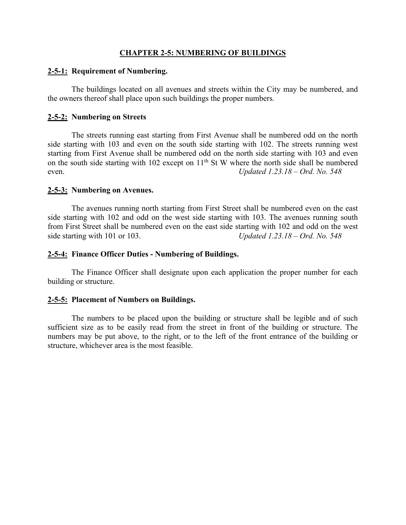#### **CHAPTER 2-5: NUMBERING OF BUILDINGS**

#### **2-5-1: Requirement of Numbering.**

The buildings located on all avenues and streets within the City may be numbered, and the owners thereof shall place upon such buildings the proper numbers.

#### **2-5-2: Numbering on Streets**

The streets running east starting from First Avenue shall be numbered odd on the north side starting with 103 and even on the south side starting with 102. The streets running west starting from First Avenue shall be numbered odd on the north side starting with 103 and even on the south side starting with 102 except on  $11<sup>th</sup>$  St W where the north side shall be numbered even. *Updated 1.23.18 – Ord. No. 548*

#### **2-5-3: Numbering on Avenues.**

The avenues running north starting from First Street shall be numbered even on the east side starting with 102 and odd on the west side starting with 103. The avenues running south from First Street shall be numbered even on the east side starting with 102 and odd on the west side starting with 101 or 103. *Updated 1.23.18 – Ord. No. 548*

### **2-5-4: Finance Officer Duties - Numbering of Buildings.**

The Finance Officer shall designate upon each application the proper number for each building or structure.

### **2-5-5: Placement of Numbers on Buildings.**

The numbers to be placed upon the building or structure shall be legible and of such sufficient size as to be easily read from the street in front of the building or structure. The numbers may be put above, to the right, or to the left of the front entrance of the building or structure, whichever area is the most feasible.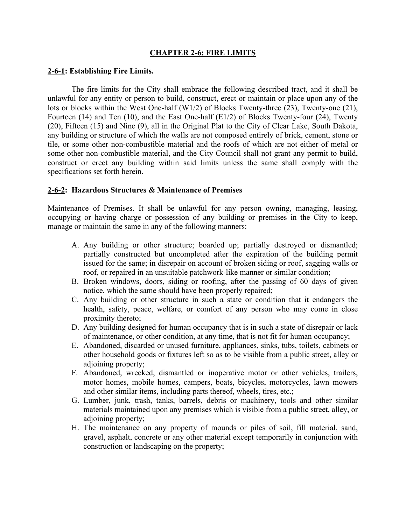### **CHAPTER 2-6: FIRE LIMITS**

#### **2-6-1: Establishing Fire Limits.**

The fire limits for the City shall embrace the following described tract, and it shall be unlawful for any entity or person to build, construct, erect or maintain or place upon any of the lots or blocks within the West One-half (W1/2) of Blocks Twenty-three (23), Twenty-one (21), Fourteen (14) and Ten (10), and the East One-half (E1/2) of Blocks Twenty-four (24), Twenty (20), Fifteen (15) and Nine (9), all in the Original Plat to the City of Clear Lake, South Dakota, any building or structure of which the walls are not composed entirely of brick, cement, stone or tile, or some other non-combustible material and the roofs of which are not either of metal or some other non-combustible material, and the City Council shall not grant any permit to build, construct or erect any building within said limits unless the same shall comply with the specifications set forth herein.

### **2-6-2: Hazardous Structures & Maintenance of Premises**

Maintenance of Premises. It shall be unlawful for any person owning, managing, leasing, occupying or having charge or possession of any building or premises in the City to keep, manage or maintain the same in any of the following manners:

- A. Any building or other structure; boarded up; partially destroyed or dismantled; partially constructed but uncompleted after the expiration of the building permit issued for the same; in disrepair on account of broken siding or roof, sagging walls or roof, or repaired in an unsuitable patchwork-like manner or similar condition;
- B. Broken windows, doors, siding or roofing, after the passing of 60 days of given notice, which the same should have been properly repaired;
- C. Any building or other structure in such a state or condition that it endangers the health, safety, peace, welfare, or comfort of any person who may come in close proximity thereto;
- D. Any building designed for human occupancy that is in such a state of disrepair or lack of maintenance, or other condition, at any time, that is not fit for human occupancy;
- E. Abandoned, discarded or unused furniture, appliances, sinks, tubs, toilets, cabinets or other household goods or fixtures left so as to be visible from a public street, alley or adjoining property;
- F. Abandoned, wrecked, dismantled or inoperative motor or other vehicles, trailers, motor homes, mobile homes, campers, boats, bicycles, motorcycles, lawn mowers and other similar items, including parts thereof, wheels, tires, etc.;
- G. Lumber, junk, trash, tanks, barrels, debris or machinery, tools and other similar materials maintained upon any premises which is visible from a public street, alley, or adjoining property;
- H. The maintenance on any property of mounds or piles of soil, fill material, sand, gravel, asphalt, concrete or any other material except temporarily in conjunction with construction or landscaping on the property;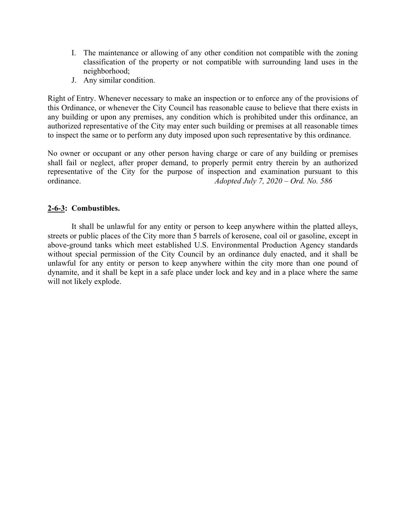- I. The maintenance or allowing of any other condition not compatible with the zoning classification of the property or not compatible with surrounding land uses in the neighborhood;
- J. Any similar condition.

Right of Entry. Whenever necessary to make an inspection or to enforce any of the provisions of this Ordinance, or whenever the City Council has reasonable cause to believe that there exists in any building or upon any premises, any condition which is prohibited under this ordinance, an authorized representative of the City may enter such building or premises at all reasonable times to inspect the same or to perform any duty imposed upon such representative by this ordinance.

No owner or occupant or any other person having charge or care of any building or premises shall fail or neglect, after proper demand, to properly permit entry therein by an authorized representative of the City for the purpose of inspection and examination pursuant to this ordinance. *Adopted July 7, 2020 – Ord. No. 586*

# **2-6-3: Combustibles.**

It shall be unlawful for any entity or person to keep anywhere within the platted alleys, streets or public places of the City more than 5 barrels of kerosene, coal oil or gasoline, except in above-ground tanks which meet established U.S. Environmental Production Agency standards without special permission of the City Council by an ordinance duly enacted, and it shall be unlawful for any entity or person to keep anywhere within the city more than one pound of dynamite, and it shall be kept in a safe place under lock and key and in a place where the same will not likely explode.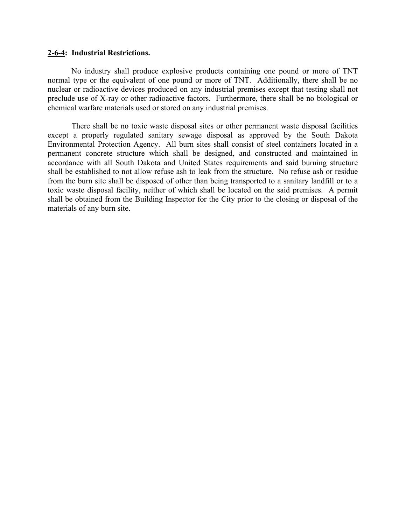#### **2-6-4: Industrial Restrictions.**

No industry shall produce explosive products containing one pound or more of TNT normal type or the equivalent of one pound or more of TNT. Additionally, there shall be no nuclear or radioactive devices produced on any industrial premises except that testing shall not preclude use of X-ray or other radioactive factors. Furthermore, there shall be no biological or chemical warfare materials used or stored on any industrial premises.

There shall be no toxic waste disposal sites or other permanent waste disposal facilities except a properly regulated sanitary sewage disposal as approved by the South Dakota Environmental Protection Agency. All burn sites shall consist of steel containers located in a permanent concrete structure which shall be designed, and constructed and maintained in accordance with all South Dakota and United States requirements and said burning structure shall be established to not allow refuse ash to leak from the structure. No refuse ash or residue from the burn site shall be disposed of other than being transported to a sanitary landfill or to a toxic waste disposal facility, neither of which shall be located on the said premises. A permit shall be obtained from the Building Inspector for the City prior to the closing or disposal of the materials of any burn site.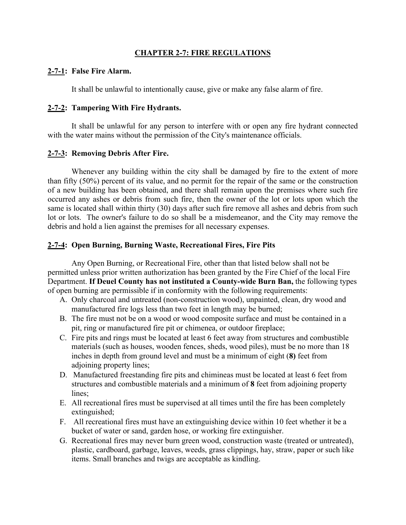### **CHAPTER 2-7: FIRE REGULATIONS**

### **2-7-1: False Fire Alarm.**

It shall be unlawful to intentionally cause, give or make any false alarm of fire.

### **2-7-2: Tampering With Fire Hydrants.**

It shall be unlawful for any person to interfere with or open any fire hydrant connected with the water mains without the permission of the City's maintenance officials.

# **2-7-3: Removing Debris After Fire.**

Whenever any building within the city shall be damaged by fire to the extent of more than fifty (50%) percent of its value, and no permit for the repair of the same or the construction of a new building has been obtained, and there shall remain upon the premises where such fire occurred any ashes or debris from such fire, then the owner of the lot or lots upon which the same is located shall within thirty (30) days after such fire remove all ashes and debris from such lot or lots. The owner's failure to do so shall be a misdemeanor, and the City may remove the debris and hold a lien against the premises for all necessary expenses.

### **2-7-4: Open Burning, Burning Waste, Recreational Fires, Fire Pits**

Any Open Burning, or Recreational Fire, other than that listed below shall not be permitted unless prior written authorization has been granted by the Fire Chief of the local Fire Department. **If Deuel County has not instituted a County-wide Burn Ban,** the following types of open burning are permissible if in conformity with the following requirements:

- A. Only charcoal and untreated (non-construction wood), unpainted, clean, dry wood and manufactured fire logs less than two feet in length may be burned;
- B. The fire must not be on a wood or wood composite surface and must be contained in a pit, ring or manufactured fire pit or chimenea, or outdoor fireplace;
- C. Fire pits and rings must be located at least 6 feet away from structures and combustible materials (such as houses, wooden fences, sheds, wood piles), must be no more than 18 inches in depth from ground level and must be a minimum of eight (**8)** feet from adjoining property lines;
- D. Manufactured freestanding fire pits and chimineas must be located at least 6 feet from structures and combustible materials and a minimum of **8** feet from adjoining property lines;
- E. All recreational fires must be supervised at all times until the fire has been completely extinguished;
- F. All recreational fires must have an extinguishing device within 10 feet whether it be a bucket of water or sand, garden hose, or working fire extinguisher.
- G. Recreational fires may never burn green wood, construction waste (treated or untreated), plastic, cardboard, garbage, leaves, weeds, grass clippings, hay, straw, paper or such like items. Small branches and twigs are acceptable as kindling.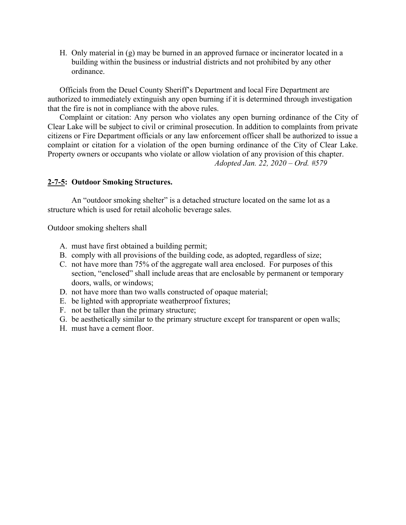H. Only material in (g) may be burned in an approved furnace or incinerator located in a building within the business or industrial districts and not prohibited by any other ordinance.

Officials from the Deuel County Sheriff's Department and local Fire Department are authorized to immediately extinguish any open burning if it is determined through investigation that the fire is not in compliance with the above rules.

Complaint or citation: Any person who violates any open burning ordinance of the City of Clear Lake will be subject to civil or criminal prosecution. In addition to complaints from private citizens or Fire Department officials or any law enforcement officer shall be authorized to issue a complaint or citation for a violation of the open burning ordinance of the City of Clear Lake. Property owners or occupants who violate or allow violation of any provision of this chapter. *Adopted Jan. 22, 2020 – Ord. #579*

### **2-7-5: Outdoor Smoking Structures.**

An "outdoor smoking shelter" is a detached structure located on the same lot as a structure which is used for retail alcoholic beverage sales.

Outdoor smoking shelters shall

- A. must have first obtained a building permit;
- B. comply with all provisions of the building code, as adopted, regardless of size;
- C. not have more than 75% of the aggregate wall area enclosed. For purposes of this section, "enclosed" shall include areas that are enclosable by permanent or temporary doors, walls, or windows;
- D. not have more than two walls constructed of opaque material;
- E. be lighted with appropriate weatherproof fixtures;
- F. not be taller than the primary structure;
- G. be aesthetically similar to the primary structure except for transparent or open walls;
- H. must have a cement floor.